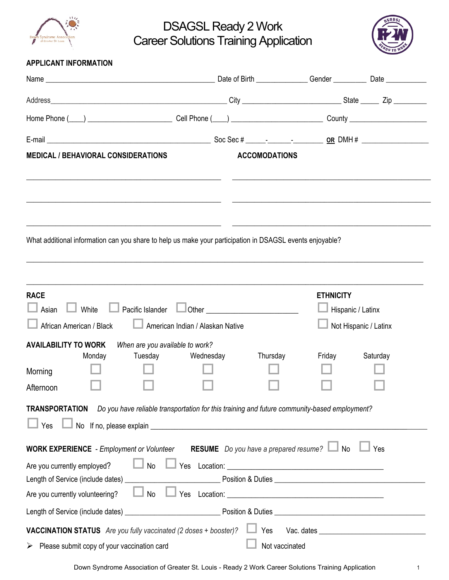

DSAGSL Ready 2 Work Career Solutions Training Application



|  | <b>APPLICANT INFORMATION</b> |
|--|------------------------------|
|--|------------------------------|

|                                                                                                                                                                                |                                                                                                                                                                                                                                                                               | Date of Birth __________________Gender _______________ Date ____________________                                      |                       |
|--------------------------------------------------------------------------------------------------------------------------------------------------------------------------------|-------------------------------------------------------------------------------------------------------------------------------------------------------------------------------------------------------------------------------------------------------------------------------|-----------------------------------------------------------------------------------------------------------------------|-----------------------|
|                                                                                                                                                                                |                                                                                                                                                                                                                                                                               |                                                                                                                       |                       |
|                                                                                                                                                                                |                                                                                                                                                                                                                                                                               |                                                                                                                       |                       |
|                                                                                                                                                                                |                                                                                                                                                                                                                                                                               |                                                                                                                       |                       |
| <b>MEDICAL / BEHAVIORAL CONSIDERATIONS</b>                                                                                                                                     | <b>ACCOMODATIONS</b>                                                                                                                                                                                                                                                          |                                                                                                                       |                       |
| <u> 1989 - Johann Stoff, Amerikaans en beskriuwer op 'n Sommerske kommunister († 1908).</u>                                                                                    |                                                                                                                                                                                                                                                                               |                                                                                                                       |                       |
| What additional information can you share to help us make your participation in DSAGSL events enjoyable?                                                                       |                                                                                                                                                                                                                                                                               | <u> 1980 - John Harry Harry Harry Harry Harry Harry Harry Harry Harry Harry Harry Harry Harry Harry Harry Harry H</u> |                       |
| <b>RACE</b><br>Asian $\Box$ White<br>African American / Black                                                                                                                  | <b>Example 20</b> Pacific Islander <b>Contract Contract Contract Contract Contract Contract Contract Contract Contract Contract Contract Contract Contract Contract Contract Contract Contract Contract Contract Contract Contract Co</b><br>American Indian / Alaskan Native | <b>ETHNICITY</b><br>Hispanic / Latinx                                                                                 | Not Hispanic / Latinx |
| <b>AVAILABILITY TO WORK</b><br>When are you available to work?<br>Tuesday<br>Monday<br>Morning<br>Afternoon                                                                    | Wednesday<br>Thursday                                                                                                                                                                                                                                                         | Friday                                                                                                                | Saturday              |
| TRANSPORTATION Do you have reliable transportation for this training and future community-based employment?<br>Yes                                                             |                                                                                                                                                                                                                                                                               |                                                                                                                       |                       |
| <b>WORK EXPERIENCE</b> - Employment or Volunteer RESUME Do you have a prepared resume? $\Box$ No<br>No<br>Are you currently employed?<br>No<br>Are you currently volunteering? |                                                                                                                                                                                                                                                                               |                                                                                                                       | $\Box$ Yes            |
|                                                                                                                                                                                |                                                                                                                                                                                                                                                                               |                                                                                                                       |                       |
| <b>VACCINATION STATUS</b> Are you fully vaccinated (2 doses + booster)? $\Box$ Yes<br>$\triangleright$ Please submit copy of your vaccination card                             |                                                                                                                                                                                                                                                                               | Not vaccinated                                                                                                        |                       |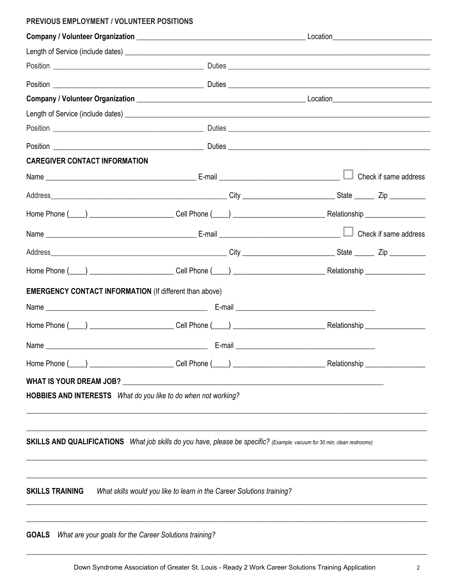## PREVIOUS EMPLOYMENT / VOLUNTEER POSITIONS

|                                                                |                                                                                                                                 | Location__________________________________ |
|----------------------------------------------------------------|---------------------------------------------------------------------------------------------------------------------------------|--------------------------------------------|
|                                                                |                                                                                                                                 |                                            |
|                                                                |                                                                                                                                 |                                            |
|                                                                |                                                                                                                                 |                                            |
|                                                                |                                                                                                                                 |                                            |
|                                                                |                                                                                                                                 |                                            |
|                                                                |                                                                                                                                 |                                            |
|                                                                |                                                                                                                                 |                                            |
| <b>CAREGIVER CONTACT INFORMATION</b>                           |                                                                                                                                 |                                            |
|                                                                |                                                                                                                                 |                                            |
|                                                                |                                                                                                                                 |                                            |
|                                                                |                                                                                                                                 |                                            |
|                                                                |                                                                                                                                 |                                            |
|                                                                |                                                                                                                                 |                                            |
|                                                                |                                                                                                                                 |                                            |
| <b>EMERGENCY CONTACT INFORMATION (If different than above)</b> |                                                                                                                                 |                                            |
|                                                                |                                                                                                                                 |                                            |
|                                                                |                                                                                                                                 |                                            |
|                                                                |                                                                                                                                 |                                            |
| Home Phone (                                                   |                                                                                                                                 | Relationship<br><u>Communicationship</u>   |
| WHAT IS YOUR DREAM JOB?                                        | <u> 1989 - Johann Stein, mars and de Britannich (b. 1989)</u>                                                                   |                                            |
|                                                                | HOBBIES AND INTERESTS What do you like to do when not working?                                                                  |                                            |
|                                                                |                                                                                                                                 |                                            |
|                                                                |                                                                                                                                 |                                            |
|                                                                | <b>SKILLS AND QUALIFICATIONS</b> What job skills do you have, please be specific? (Example: vacuum for 30 min, clean restrooms) |                                            |
|                                                                |                                                                                                                                 |                                            |
|                                                                |                                                                                                                                 |                                            |
| <b>SKILLS TRAINING</b>                                         | What skills would you like to learn in the Career Solutions training?                                                           |                                            |
|                                                                |                                                                                                                                 |                                            |
| <b>GOALS</b>                                                   | What are your goals for the Career Solutions training?                                                                          |                                            |